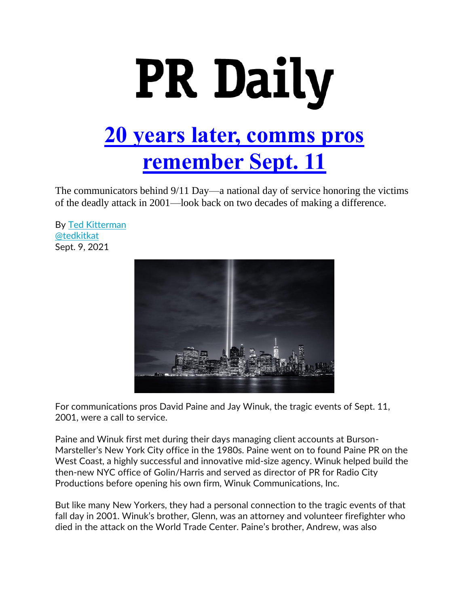

The communicators behind 9/11 Day—a national day of service honoring the victims of the deadly attack in 2001—look back on two decades of making a difference.

By [Ted Kitterman](https://www.prdaily.com/author/ted-kitterman) [@tedkitkat](https://twitter.com/tedkitkat) Sept. 9, 2021



For communications pros David Paine and Jay Winuk, the tragic events of Sept. 11, 2001, were a call to service.

Paine and Winuk first met during their days managing client accounts at Burson-Marsteller's New York City office in the 1980s. Paine went on to found Paine PR on the West Coast, a highly successful and innovative mid-size agency. Winuk helped build the then-new NYC office of Golin/Harris and served as director of PR for Radio City Productions before opening his own firm, Winuk Communications, Inc.

But like many New Yorkers, they had a personal connection to the tragic events of that fall day in 2001. Winuk's brother, Glenn, was an attorney and volunteer firefighter who died in the attack on the World Trade Center. Paine's brother, Andrew, was also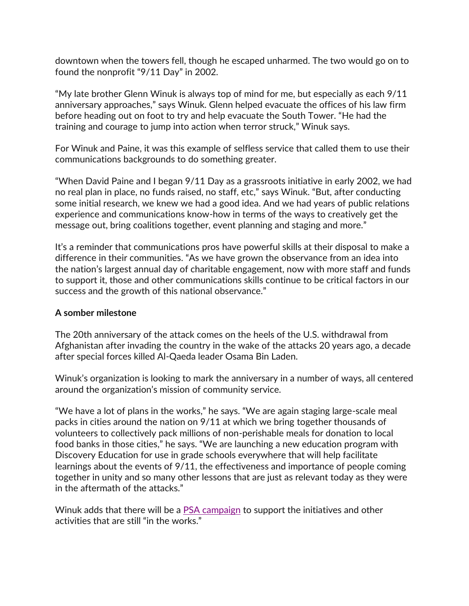downtown when the towers fell, though he escaped unharmed. The two would go on to found the nonprofit "9/11 Day" in 2002.

"My late brother Glenn Winuk is always top of mind for me, but especially as each 9/11 anniversary approaches," says Winuk. Glenn helped evacuate the offices of his law firm before heading out on foot to try and help evacuate the South Tower. "He had the training and courage to jump into action when terror struck," Winuk says.

For Winuk and Paine, it was this example of selfless service that called them to use their communications backgrounds to do something greater.

"When David Paine and I began 9/11 Day as a grassroots initiative in early 2002, we had no real plan in place, no funds raised, no staff, etc," says Winuk. "But, after conducting some initial research, we knew we had a good idea. And we had years of public relations experience and communications know-how in terms of the ways to creatively get the message out, bring coalitions together, event planning and staging and more."

It's a reminder that communications pros have powerful skills at their disposal to make a difference in their communities. "As we have grown the observance from an idea into the nation's largest annual day of charitable engagement, now with more staff and funds to support it, those and other communications skills continue to be critical factors in our success and the growth of this national observance."

## **A somber milestone**

The 20th anniversary of the attack comes on the heels of the U.S. withdrawal from Afghanistan after invading the country in the wake of the attacks 20 years ago, a decade after special forces killed Al-Qaeda leader Osama Bin Laden.

Winuk's organization is looking to mark the anniversary in a number of ways, all centered around the organization's mission of community service.

"We have a lot of plans in the works," he says. "We are again staging large-scale meal packs in cities around the nation on 9/11 at which we bring together thousands of volunteers to collectively pack millions of non-perishable meals for donation to local food banks in those cities," he says. "We are launching a new education program with Discovery Education for use in grade schools everywhere that will help facilitate learnings about the events of 9/11, the effectiveness and importance of people coming together in unity and so many other lessons that are just as relevant today as they were in the aftermath of the attacks."

Winuk adds that there will be a [PSA campaign](https://youtu.be/oFIFhp2wzfs?list=PLdrQ-5nkBOCbDkwc6HdaiKlAW9V9a9RyM) to support the initiatives and other activities that are still "in the works."